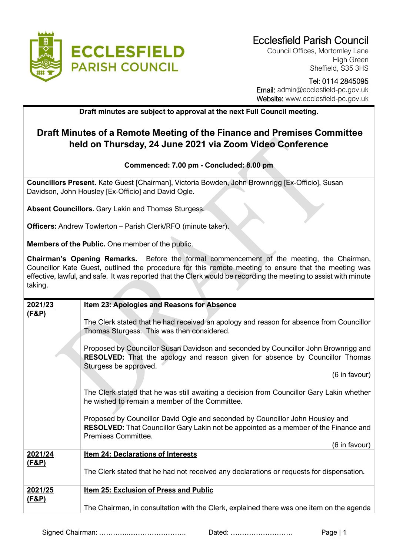

Council Offices, Mortomley Lane High Green Sheffield, S35 3HS

## Tel: 0114 2845095 Email: admin@ecclesfield-pc.gov.uk Website: www.ecclesfield-pc.gov.uk

**Draft minutes are subject to approval at the next Full Council meeting.** 

## **Draft Minutes of a Remote Meeting of the Finance and Premises Committee held on Thursday, 24 June 2021 via Zoom Video Conference**

## **Commenced: 7.00 pm - Concluded: 8.00 pm**

**Councillors Present.** Kate Guest [Chairman], Victoria Bowden, John Brownrigg [Ex-Officio], Susan Davidson, John Housley [Ex-Officio] and David Ogle.

**Absent Councillors.** Gary Lakin and Thomas Sturgess.

**Officers:** Andrew Towlerton – Parish Clerk/RFO (minute taker).

**Members of the Public.** One member of the public.

**Chairman's Opening Remarks.** Before the formal commencement of the meeting, the Chairman, Councillor Kate Guest, outlined the procedure for this remote meeting to ensure that the meeting was effective, lawful, and safe. It was reported that the Clerk would be recording the meeting to assist with minute taking.

| 2021/23<br><u>(F&amp;P)</u> | <b>Item 23: Apologies and Reasons for Absence</b>                                                                                                                                                   |
|-----------------------------|-----------------------------------------------------------------------------------------------------------------------------------------------------------------------------------------------------|
|                             | The Clerk stated that he had received an apology and reason for absence from Councillor<br>Thomas Sturgess. This was then considered.                                                               |
|                             | Proposed by Councillor Susan Davidson and seconded by Councillor John Brownrigg and<br><b>RESOLVED:</b> That the apology and reason given for absence by Councillor Thomas<br>Sturgess be approved. |
|                             | (6 in favour)                                                                                                                                                                                       |
|                             | The Clerk stated that he was still awaiting a decision from Councillor Gary Lakin whether<br>he wished to remain a member of the Committee.                                                         |
|                             | Proposed by Councillor David Ogle and seconded by Councillor John Housley and<br><b>RESOLVED:</b> That Councillor Gary Lakin not be appointed as a member of the Finance and<br>Premises Committee. |
|                             | (6 in favour)                                                                                                                                                                                       |
| 2021/24<br><u>(F&amp;P)</u> | Item 24: Declarations of Interests                                                                                                                                                                  |
|                             | The Clerk stated that he had not received any declarations or requests for dispensation.                                                                                                            |
| 2021/25                     | <b>Item 25: Exclusion of Press and Public</b>                                                                                                                                                       |
| <u>(F&amp;P)</u>            | The Chairman, in consultation with the Clerk, explained there was one item on the agenda                                                                                                            |
|                             |                                                                                                                                                                                                     |

Signed Chairman: ………….....…………………. Dated: ……………………… Page | 1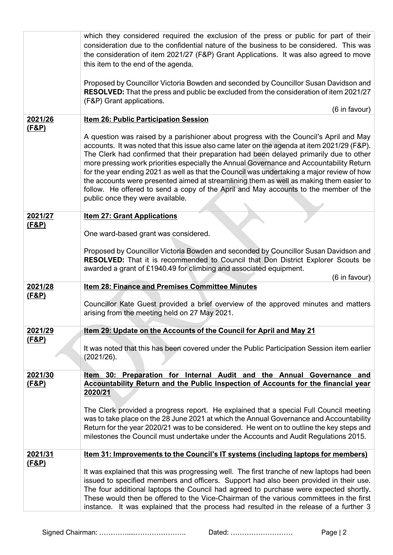|                             | which they considered required the exclusion of the press or public for part of their<br>consideration due to the confidential nature of the business to be considered. This was<br>the consideration of item 2021/27 (F&P) Grant Applications. It was also agreed to move<br>this item to the end of the agenda.<br>Proposed by Councillor Victoria Bowden and seconded by Councillor Susan Davidson and<br>RESOLVED: That the press and public be excluded from the consideration of item 2021/27<br>(F&P) Grant applications.                                                                                                                                                                                                                 |
|-----------------------------|--------------------------------------------------------------------------------------------------------------------------------------------------------------------------------------------------------------------------------------------------------------------------------------------------------------------------------------------------------------------------------------------------------------------------------------------------------------------------------------------------------------------------------------------------------------------------------------------------------------------------------------------------------------------------------------------------------------------------------------------------|
|                             | (6 in favour)                                                                                                                                                                                                                                                                                                                                                                                                                                                                                                                                                                                                                                                                                                                                    |
| 2021/26<br><u>(F&amp;P)</u> | <b>Item 26: Public Participation Session</b><br>A question was raised by a parishioner about progress with the Council's April and May<br>accounts. It was noted that this issue also came later on the agenda at item 2021/29 (F&P).<br>The Clerk had confirmed that their preparation had been delayed primarily due to other<br>more pressing work priorities especially the Annual Governance and Accountability Return<br>for the year ending 2021 as well as that the Council was undertaking a major review of how<br>the accounts were presented aimed at streamlining them as well as making them easier to<br>follow. He offered to send a copy of the April and May accounts to the member of the<br>public once they were available. |
| 2021/27<br><u>(F&amp;P)</u> | <b>Item 27: Grant Applications</b><br>One ward-based grant was considered.<br>Proposed by Councillor Victoria Bowden and seconded by Councillor Susan Davidson and<br>RESOLVED: That it is recommended to Council that Don District Explorer Scouts be<br>awarded a grant of £1940.49 for climbing and associated equipment.<br>(6 in favour)                                                                                                                                                                                                                                                                                                                                                                                                    |
| 2021/28                     | <b>Item 28: Finance and Premises Committee Minutes</b>                                                                                                                                                                                                                                                                                                                                                                                                                                                                                                                                                                                                                                                                                           |
| <u>(F&amp;P)</u>            | Councillor Kate Guest provided a brief overview of the approved minutes and matters<br>arising from the meeting held on 27 May 2021.                                                                                                                                                                                                                                                                                                                                                                                                                                                                                                                                                                                                             |
| 2021/29                     | Item 29: Update on the Accounts of the Council for April and May 21                                                                                                                                                                                                                                                                                                                                                                                                                                                                                                                                                                                                                                                                              |
| <u>(F&amp;P)</u>            | It was noted that this has been covered under the Public Participation Session item earlier<br>(2021/26).                                                                                                                                                                                                                                                                                                                                                                                                                                                                                                                                                                                                                                        |
| 2021/30<br>(F&P)            | Item 30: Preparation for Internal Audit and the Annual Governance and<br>Accountability Return and the Public Inspection of Accounts for the financial year<br>2020/21<br>The Clerk provided a progress report. He explained that a special Full Council meeting<br>was to take place on the 28 June 2021 at which the Annual Governance and Accountability<br>Return for the year 2020/21 was to be considered. He went on to outline the key steps and<br>milestones the Council must undertake under the Accounts and Audit Regulations 2015.                                                                                                                                                                                                 |
| 2021/31                     | <u>Item 31: Improvements to the Council's IT systems (including laptops for members)</u>                                                                                                                                                                                                                                                                                                                                                                                                                                                                                                                                                                                                                                                         |
| <u>(F&amp;P)</u>            | It was explained that this was progressing well. The first tranche of new laptops had been<br>issued to specified members and officers. Support had also been provided in their use.<br>The four additional laptops the Council had agreed to purchase were expected shortly.<br>These would then be offered to the Vice-Chairman of the various committees in the first<br>instance. It was explained that the process had resulted in the release of a further 3                                                                                                                                                                                                                                                                               |